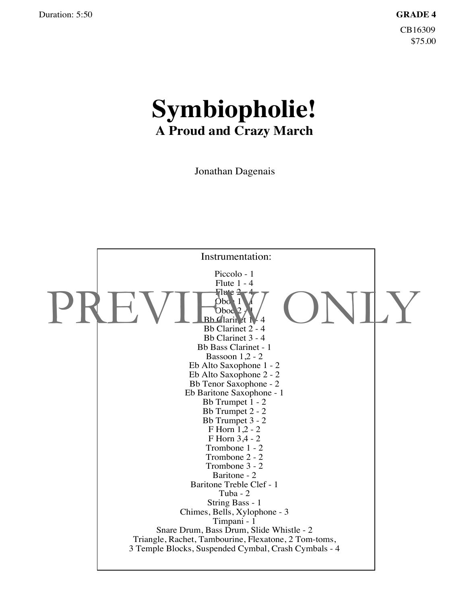**GRADE 4** CB16309 \$75.00

# **Symbiopholie! A Proud and Crazy March**

Jonathan Dagenais

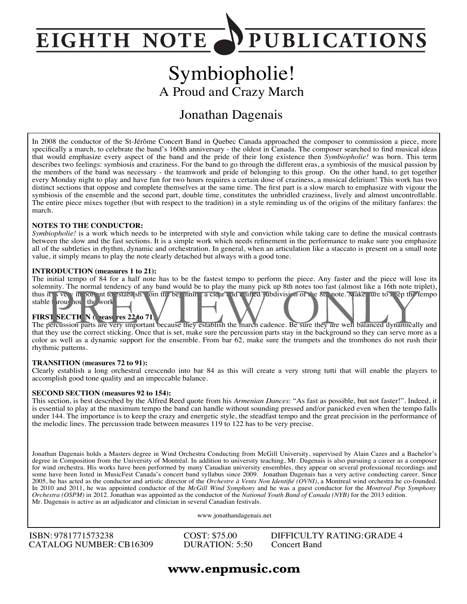### PUBLICATIONS EIGHTH NOTE

## Symbiopholie! A Proud and Crazy March

### Jonathan Dagenais

In 2008 the conductor of the St-Jérôme Concert Band in Quebec Canada approached the composer to commission a piece, more specifically a march, to celebrate the band's 160th anniversary - the oldest in Canada. The composer searched to find musical ideas that would emphasize every aspect of the band and the pride of their long existence then *Symbiopholie!* was born. This term describes two feelings: symbiosis and craziness. For the band to go through the different eras, a symbiosis of the musical passion by the members of the band was necessary - the teamwork and pride of belonging to this group. On the other hand, to get together every Monday night to play and have fun for two hours requires a certain dose of craziness, a musical delirium! This work has two distinct sections that oppose and complete themselves at the same time. The first part is a slow march to emphasize with vigour the symbiosis of the ensemble and the second part, double time, constitutes the unbridled craziness, lively and almost uncontrollable. The entire piece mixes together (but with respect to the tradition) in a style reminding us of the origins of the military fanfares: the march.

#### **NOTES TO THE CONDUCTOR:**

*Symbiopholie!* is a work which needs to be interpreted with style and conviction while taking care to define the musical contrasts between the slow and the fast sections. It is a simple work which needs refinement in the performance to make sure you emphasize all of the subtleties in rhythm, dynamic and orchestration. In general, when an articulation like a staccato is present on a small note value, it simply means to play the note clearly detached but always with a good tone.

#### **INTRODUCTION (measures 1 to 21):**

The initial tempo of 84 for a half note has to be the fastest tempo to perform the piece. Any faster and the piece will lose its solemnity. The normal tendency of any band would be to play the many pick up 8th notes too fast (almost like a 16th note triplet), thus it is very in portant to establish from the beginning a clear and unified subdivision of the 8th note. Make ure to keep the tempo stable t roughout the work. mainty. The normal tendency of any band would be to play the many pick up 8th notes too fast (almost like a 16th note trice).<br>
Figure 1.1 The work of the work of the work of the work of the work of the work of the work of

#### **FIRST SECTIC N (measures 22 to 71)**

The percussion parts are very important because they establish the march cadence. Be sure they are well balanced dynamically and that they use the correct sticking. Once that is set, make sure the percussion parts stay in the background so they can serve more as a color as well as a dynamic support for the ensemble. From bar 62, make sure the trumpets and the trombones do not rush their rhythmic patterns.

#### **TRANSITION (measures 72 to 91):**

Clearly establish a long orchestral crescendo into bar 84 as this will create a very strong tutti that will enable the players to accomplish good tone quality and an impeccable balance.

#### **SECOND SECTION (measures 92 to 154):**

This section, is best described by the Alfred Reed quote from his *Armenian Dances*: "As fast as possible, but not faster!". Indeed, it is essential to play at the maximum tempo the band can handle without sounding pressed and/or panicked even when the tempo falls under 144. The importance is to keep the crazy and energetic style, the steadfast tempo and the great precision in the performance of the melodic lines. The percussion trade between measures 119 to 122 has to be very precise.

Jonathan Dagenais holds a Masters degree in Wind Orchestra Conducting from McGill University, supervised by Alain Cazes and a Bachelor's degree in Composition from the University of Montréal. In addition to university teaching, Mr. Dagenais is also pursuing a career as a composer for wind orchestra. His works have been performed by many Canadian university ensembles, they appear on several professional recordings and some have been listed in MusicFest Canada's concert band syllabus since 2009. Jonathan Dagenais has a very active conducting career. Since 2005, he has acted as the conductor and artistic director of the *Orchestre à Vents Non Identifié (OVNI)*, a Montreal wind orchestra he co-founded. In 2010 and 2011, he was appointed conductor of the *McGill Wind Symphony* and he was a guest conductor for the *Montreal Pop Symphony Orchestra (OSPM)* in 2012. Jonathan was appointed as the conductor of the *National Youth Band of Canada (NYB)* for the 2013 edition. Mr. Dagenais is active as an adjudicator and clinician in several Canadian festivals.

www.jonathandagenais.net

ISBN: 9781771573238 CATALOG NUMBER:CB16309 COST: \$75.00 DURATION: 5:50 DIFFICULTY RATING:GRADE 4 Concert Band

### **www.enpmusic.com**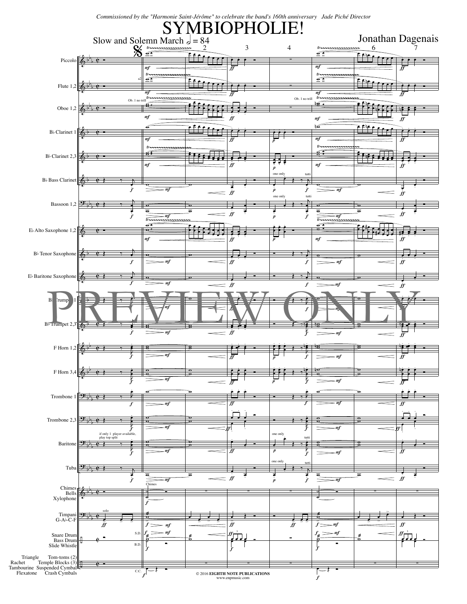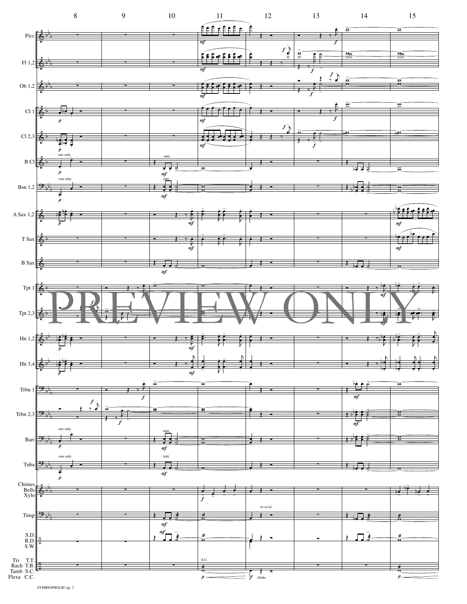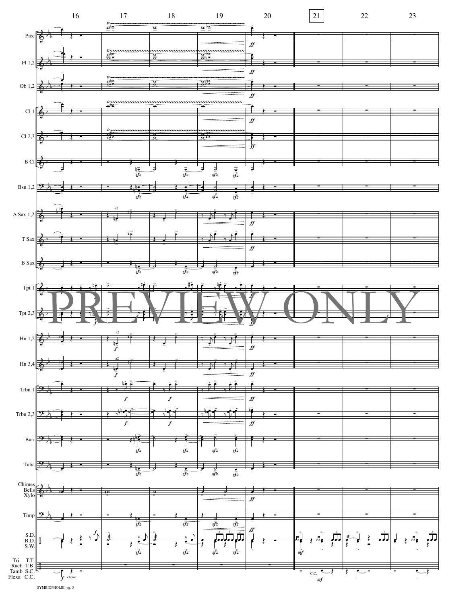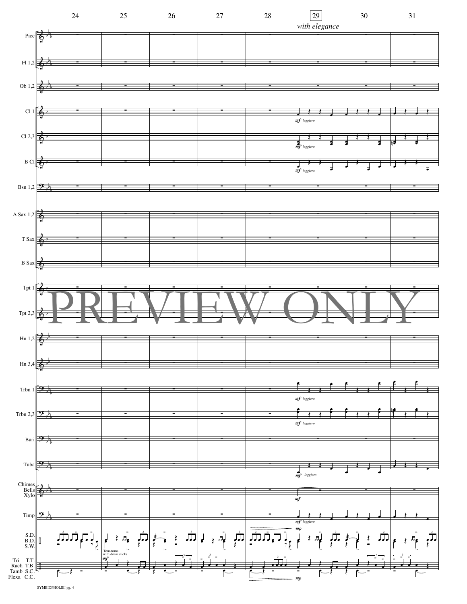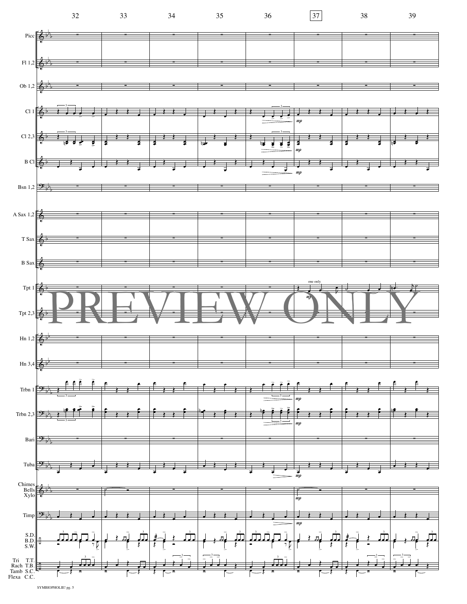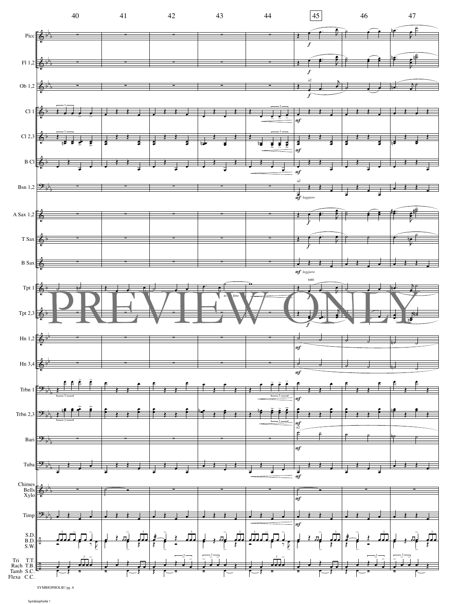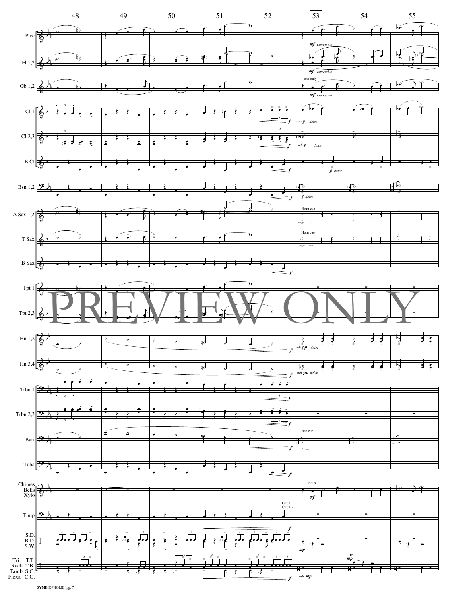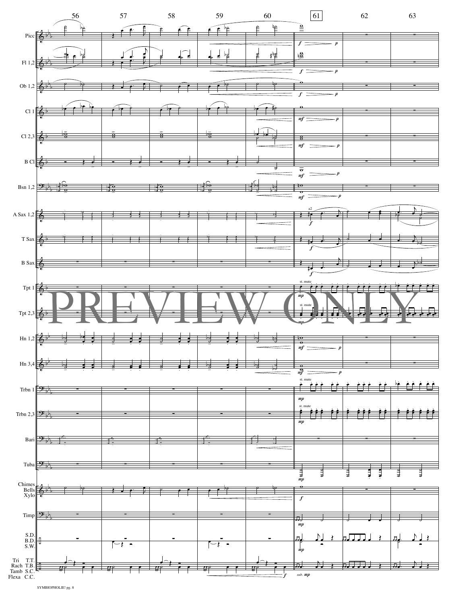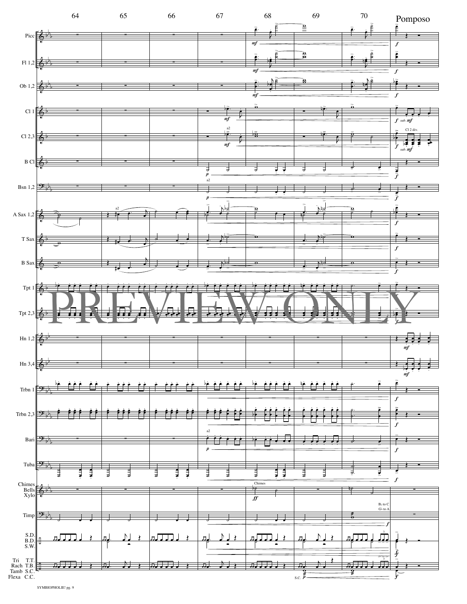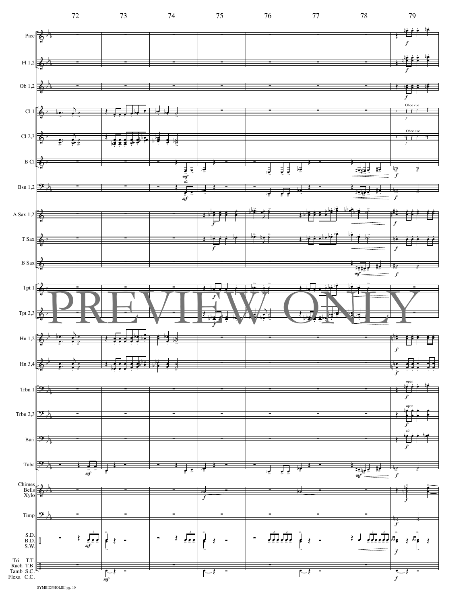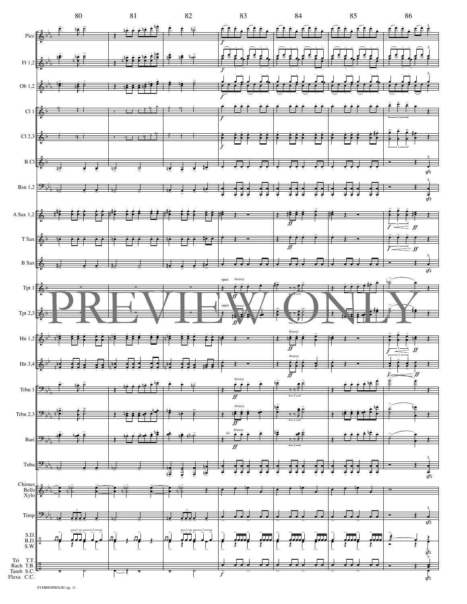![](_page_12_Figure_0.jpeg)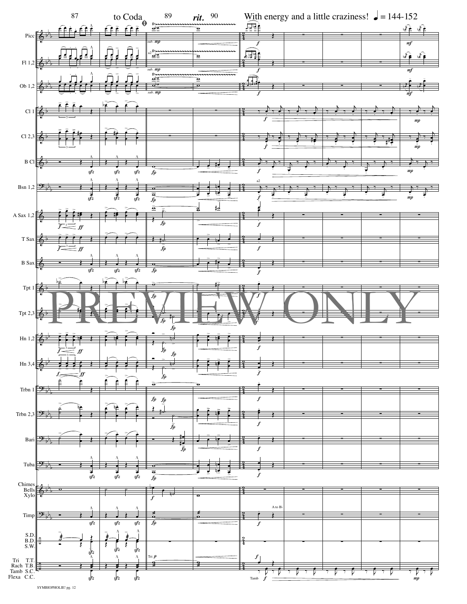![](_page_13_Figure_0.jpeg)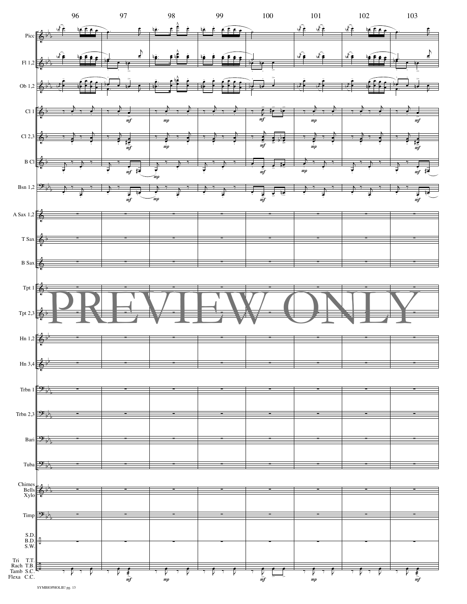![](_page_14_Figure_0.jpeg)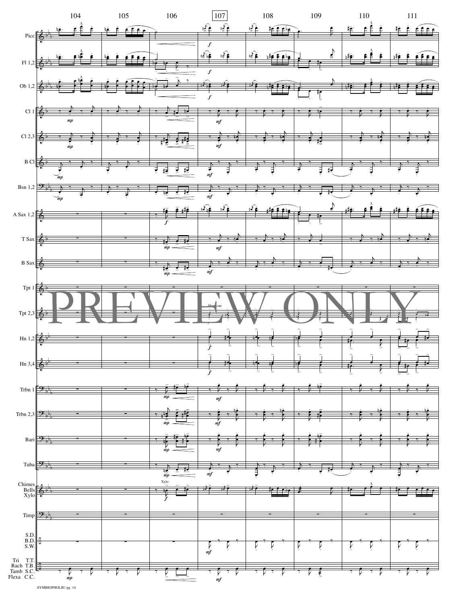![](_page_15_Figure_0.jpeg)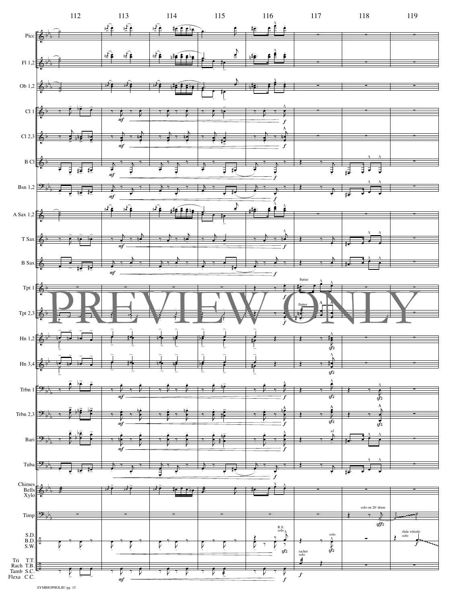![](_page_16_Figure_0.jpeg)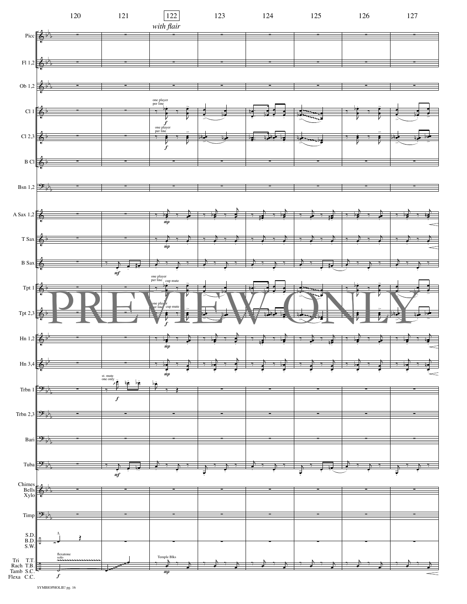![](_page_17_Figure_0.jpeg)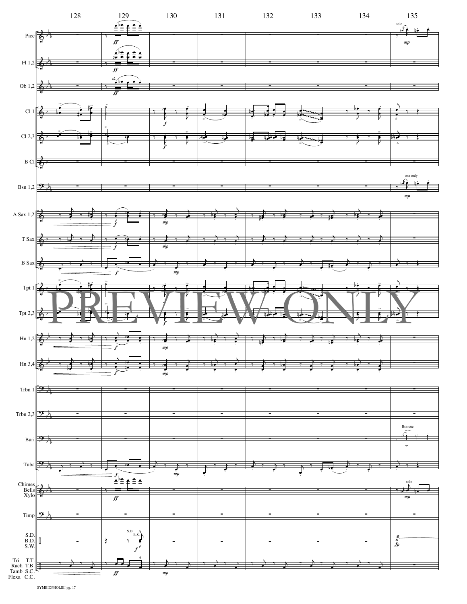![](_page_18_Figure_0.jpeg)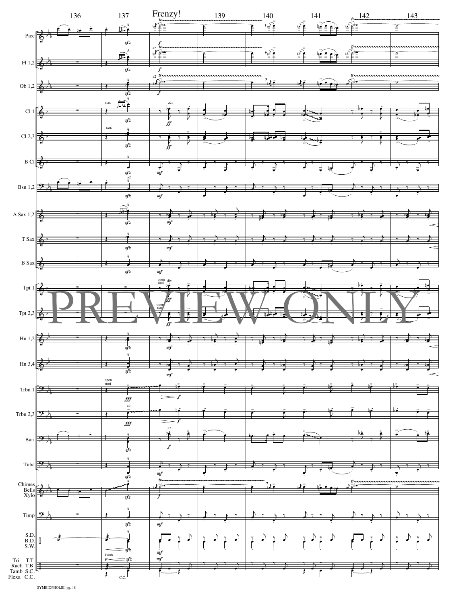![](_page_19_Figure_0.jpeg)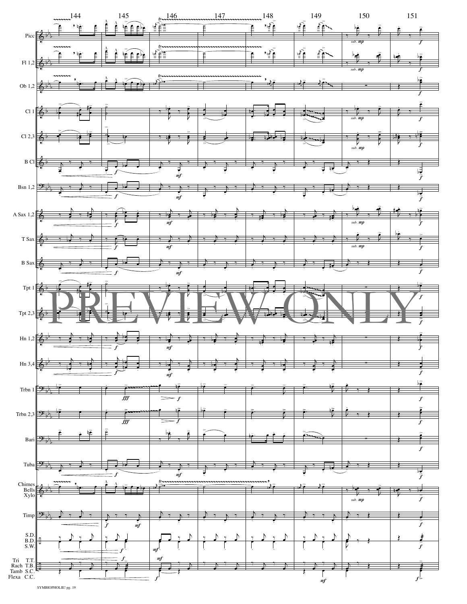![](_page_20_Figure_0.jpeg)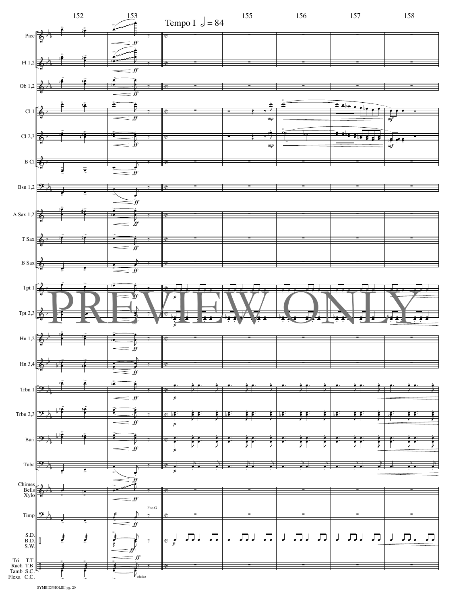![](_page_21_Figure_0.jpeg)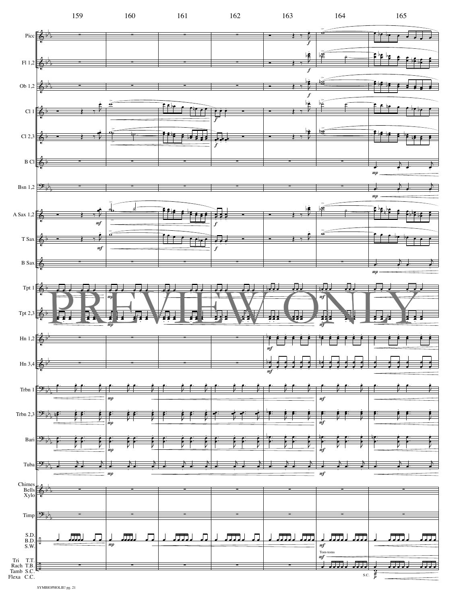![](_page_22_Figure_0.jpeg)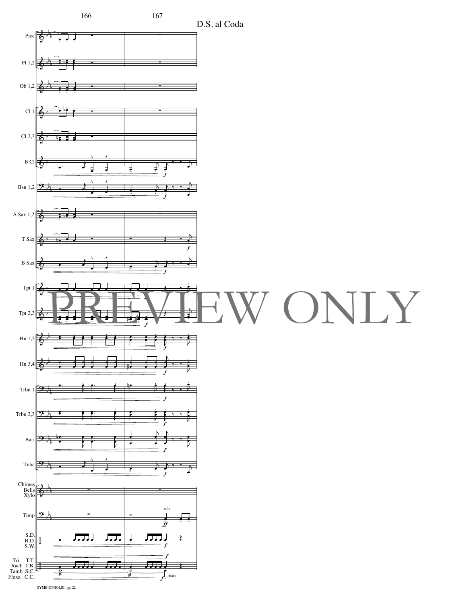![](_page_23_Figure_0.jpeg)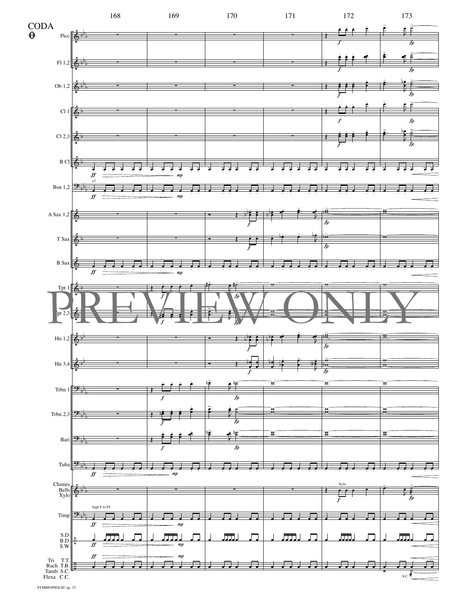![](_page_24_Figure_0.jpeg)

æ